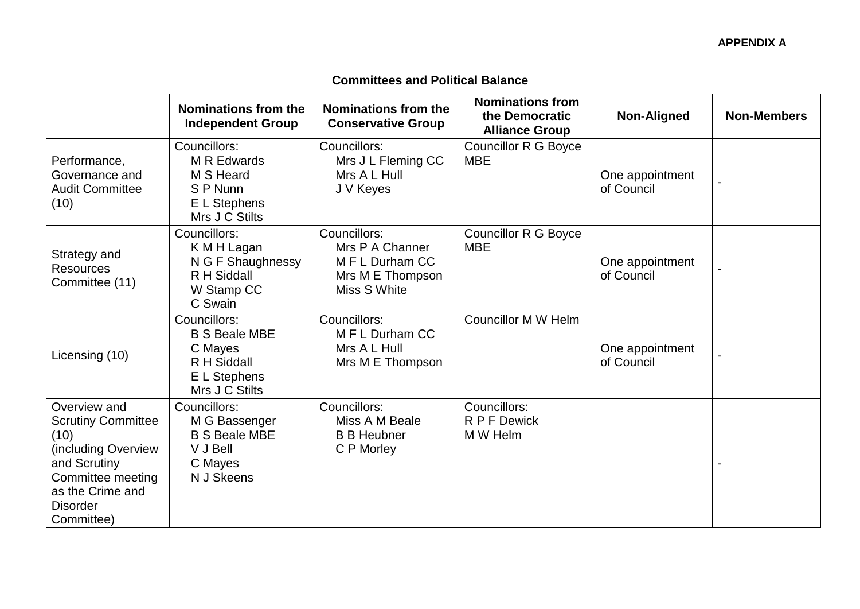## **Committees and Political Balance**

|                                                                                                                                                                    | Nominations from the<br><b>Independent Group</b>                                                 | Nominations from the<br><b>Conservative Group</b>                                      | <b>Nominations from</b><br>the Democratic<br><b>Alliance Group</b> | <b>Non-Aligned</b>            | <b>Non-Members</b> |
|--------------------------------------------------------------------------------------------------------------------------------------------------------------------|--------------------------------------------------------------------------------------------------|----------------------------------------------------------------------------------------|--------------------------------------------------------------------|-------------------------------|--------------------|
| Performance,<br>Governance and<br><b>Audit Committee</b><br>(10)                                                                                                   | Councillors:<br>M R Edwards<br>M S Heard<br>S P Nunn<br>E L Stephens<br>Mrs J C Stilts           | Councillors:<br>Mrs J L Fleming CC<br>Mrs A L Hull<br>J V Keyes                        | <b>Councillor R G Boyce</b><br><b>MBE</b>                          | One appointment<br>of Council |                    |
| Strategy and<br><b>Resources</b><br>Committee (11)                                                                                                                 | Councillors:<br>K M H Lagan<br>N G F Shaughnessy<br>R H Siddall<br>W Stamp CC<br>C Swain         | Councillors:<br>Mrs P A Channer<br>M F L Durham CC<br>Mrs M E Thompson<br>Miss S White | <b>Councillor R G Boyce</b><br><b>MBE</b>                          | One appointment<br>of Council |                    |
| Licensing (10)                                                                                                                                                     | Councillors:<br><b>B S Beale MBE</b><br>C Mayes<br>R H Siddall<br>E L Stephens<br>Mrs J C Stilts | Councillors:<br>M F L Durham CC<br>Mrs A L Hull<br>Mrs M E Thompson                    | <b>Councillor M W Helm</b>                                         | One appointment<br>of Council |                    |
| Overview and<br><b>Scrutiny Committee</b><br>(10)<br>including Overview)<br>and Scrutiny<br>Committee meeting<br>as the Crime and<br><b>Disorder</b><br>Committee) | Councillors:<br>M G Bassenger<br><b>B S Beale MBE</b><br>V J Bell<br>C Mayes<br>N J Skeens       | Councillors:<br>Miss A M Beale<br><b>B B Heubner</b><br>C P Morley                     | Councillors:<br>R P F Dewick<br>M W Helm                           |                               |                    |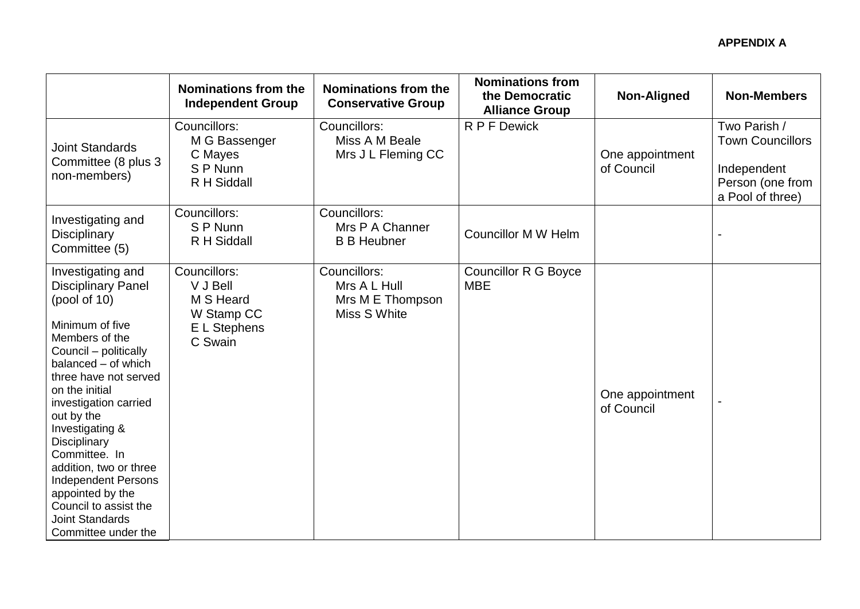|                                                                                                                                                                                                                                                                                                                                                                                                                                                 | Nominations from the<br><b>Independent Group</b>                               | Nominations from the<br><b>Conservative Group</b>                | <b>Nominations from</b><br>the Democratic<br><b>Alliance Group</b> | <b>Non-Aligned</b>            | <b>Non-Members</b>                                                                             |
|-------------------------------------------------------------------------------------------------------------------------------------------------------------------------------------------------------------------------------------------------------------------------------------------------------------------------------------------------------------------------------------------------------------------------------------------------|--------------------------------------------------------------------------------|------------------------------------------------------------------|--------------------------------------------------------------------|-------------------------------|------------------------------------------------------------------------------------------------|
| <b>Joint Standards</b><br>Committee (8 plus 3<br>non-members)                                                                                                                                                                                                                                                                                                                                                                                   | Councillors:<br>M G Bassenger<br>C Mayes<br>S P Nunn<br>R H Siddall            | Councillors:<br>Miss A M Beale<br>Mrs J L Fleming CC             | R P F Dewick                                                       | One appointment<br>of Council | Two Parish /<br><b>Town Councillors</b><br>Independent<br>Person (one from<br>a Pool of three) |
| Investigating and<br>Disciplinary<br>Committee (5)                                                                                                                                                                                                                                                                                                                                                                                              | Councillors:<br>S P Nunn<br>R H Siddall                                        | Councillors:<br>Mrs P A Channer<br><b>B B Heubner</b>            | <b>Councillor M W Helm</b>                                         |                               |                                                                                                |
| Investigating and<br><b>Disciplinary Panel</b><br>(pool of 10)<br>Minimum of five<br>Members of the<br>Council - politically<br>balanced - of which<br>three have not served<br>on the initial<br>investigation carried<br>out by the<br>Investigating &<br>Disciplinary<br>Committee. In<br>addition, two or three<br><b>Independent Persons</b><br>appointed by the<br>Council to assist the<br><b>Joint Standards</b><br>Committee under the | Councillors:<br>V J Bell<br>M S Heard<br>W Stamp CC<br>E L Stephens<br>C Swain | Councillors:<br>Mrs A L Hull<br>Mrs M E Thompson<br>Miss S White | <b>Councillor R G Boyce</b><br><b>MBE</b>                          | One appointment<br>of Council |                                                                                                |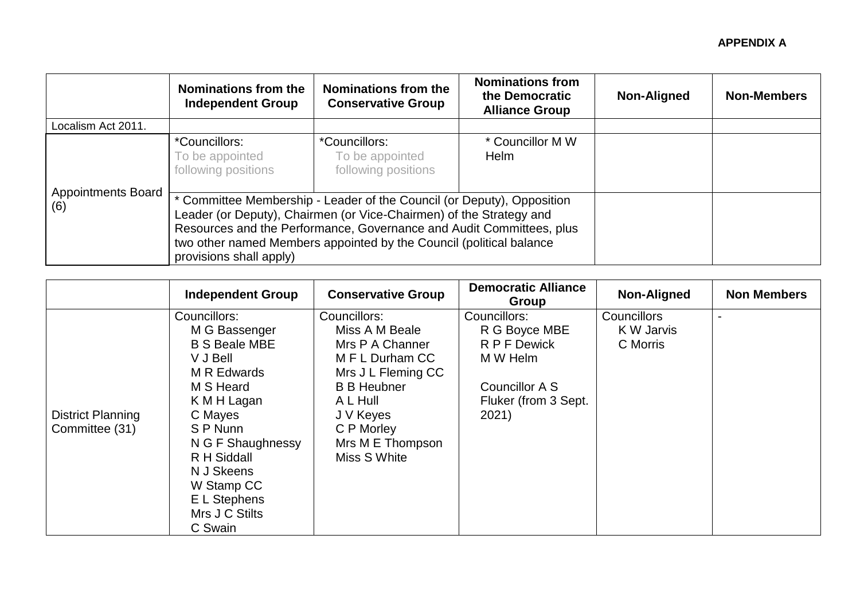|                                  | Nominations from the<br><b>Independent Group</b>                                                                                                                                                                                                                                                                      | Nominations from the<br><b>Conservative Group</b>       | <b>Nominations from</b><br>the Democratic<br><b>Alliance Group</b> | Non-Aligned | <b>Non-Members</b> |
|----------------------------------|-----------------------------------------------------------------------------------------------------------------------------------------------------------------------------------------------------------------------------------------------------------------------------------------------------------------------|---------------------------------------------------------|--------------------------------------------------------------------|-------------|--------------------|
| Localism Act 2011.               |                                                                                                                                                                                                                                                                                                                       |                                                         |                                                                    |             |                    |
|                                  | *Councillors:<br>To be appointed<br>following positions                                                                                                                                                                                                                                                               | *Councillors:<br>To be appointed<br>following positions | * Councillor M W<br><b>Helm</b>                                    |             |                    |
| <b>Appointments Board</b><br>(6) | Committee Membership - Leader of the Council (or Deputy), Opposition<br>Leader (or Deputy), Chairmen (or Vice-Chairmen) of the Strategy and<br>Resources and the Performance, Governance and Audit Committees, plus<br>two other named Members appointed by the Council (political balance<br>provisions shall apply) |                                                         |                                                                    |             |                    |

|                                     | <b>Independent Group</b>                                                                                                                                                                                                                         | <b>Conservative Group</b>                                                                                                                                                                   | <b>Democratic Alliance</b><br>Group                                                                          | <b>Non-Aligned</b>                    | <b>Non Members</b> |
|-------------------------------------|--------------------------------------------------------------------------------------------------------------------------------------------------------------------------------------------------------------------------------------------------|---------------------------------------------------------------------------------------------------------------------------------------------------------------------------------------------|--------------------------------------------------------------------------------------------------------------|---------------------------------------|--------------------|
| District Planning<br>Committee (31) | Councillors:<br>M G Bassenger<br><b>B S Beale MBE</b><br>V J Bell<br>M R Edwards<br>M S Heard<br>K M H Lagan<br>C Mayes<br>S P Nunn<br>N G F Shaughnessy<br>R H Siddall<br>N J Skeens<br>W Stamp CC<br>E L Stephens<br>Mrs J C Stilts<br>C Swain | Councillors:<br>Miss A M Beale<br>Mrs P A Channer<br>M F L Durham CC<br>Mrs J L Fleming CC<br><b>B B Heubner</b><br>A L Hull<br>J V Keyes<br>C P Morley<br>Mrs M E Thompson<br>Miss S White | Councillors:<br>R G Boyce MBE<br>R P F Dewick<br>M W Helm<br>Councillor A S<br>Fluker (from 3 Sept.<br>2021) | Councillors<br>K W Jarvis<br>C Morris |                    |